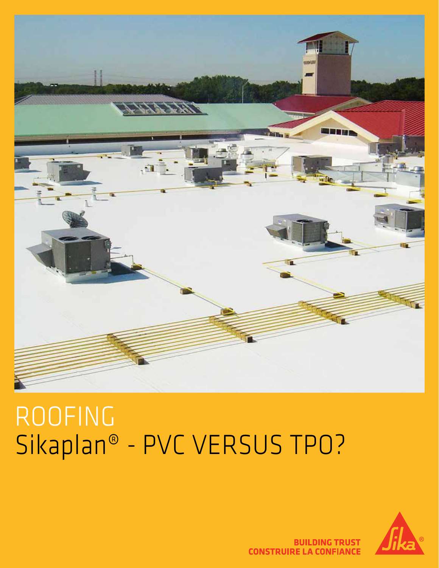



# Sikaplan® - PVC VERSUS TPO?



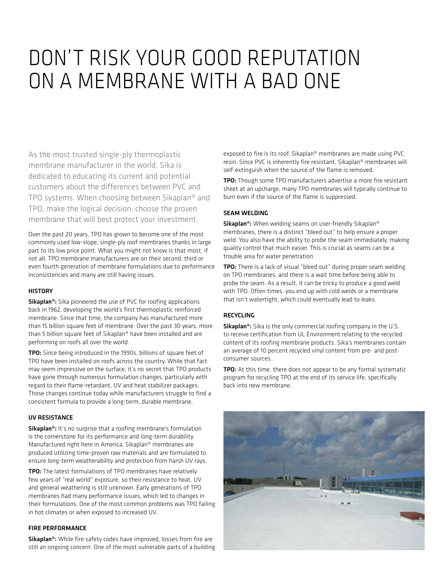## DON'T RISK YOUR GOOD REPUTATION ON A MEMBRANE WITH A BAD ONE

As the most trusted single-ply thermoplastic membrane manufacturer in the world, Sika is dedicated to educating its current and potential customers about the differences between PVC and TPO systems. When choosing between Sikaplan® and TPO, make the logical decision; choose the proven membrane that will best protect your investment.

Over the past 20 years, TPO has grown to become one of the most commonly used low-slope, single-ply roof membranes thanks in large part to its low price point. What you might not know is that most, if not all, TPO membrane manufacturers are on their second, third or even fourth generation of membrane formulations due to performance inconsistencies and many are still having issues.

#### **HISTORY**

Sikaplan<sup>®</sup>: Sika pioneered the use of PVC for roofing applications back in 1962, developing the world's first thermoplastic reinforced membrane. Since that time, the company has manufactured more than 15 billion square feet of membrane. Over the past 30 years, more than 5 billion square feet of Sikaplan® have been installed and are performing on roofs all over the world.

TPO: Since being introduced in the 1990s, billions of square feet of TPO have been installed on roofs across the country. While that fact may seem impressive on the surface, it's no secret that TPO products have gone through numerous formulation changes, particularly with regard to their flame-retardant, UV and heat stabilizer packages. Those changes continue today while manufacturers struggle to find a consistent formula to provide a long-term, durable membrane.

#### UV RESISTANCE

Sikaplan<sup>®</sup>: It's no surprise that a roofing membrane's formulation is the cornerstone for its performance and long-term durability. Manufactured right here in America, Sikaplan® membranes are produced utilizing time-proven raw materials and are formulated to ensure long-term weatherability and protection from harsh UV rays.

TPO: The latest formulations of TPO membranes have relatively few years of "real world" exposure, so their resistance to heat, UV and general weathering is still unknown. Early generations of TPO membranes had many performance issues, which led to changes in their formulations. One of the most common problems was TPO failing in hot climates or when exposed to increased UV.

#### FIRE PERFORMANCE

Sikaplan<sup>®</sup>: While fire safety codes have improved, losses from fire are still an ongoing concern. One of the most vulnerable parts of a building exposed to fire is its roof. Sikaplan® membranes are made using PVC resin. Since PVC is inherently fire resistant, Sikaplan® membranes will self-extinguish when the source of the flame is removed.

TPO: Though some TPO manufacturers advertise a more fire resistant sheet at an upcharge, many TPO membranes will typically continue to burn even if the source of the flame is suppressed.

#### SEAM WELDING

Sikaplan<sup>®</sup>: When welding seams on user-friendly Sikaplan<sup>®</sup> membranes, there is a distinct "bleed out" to help ensure a proper weld. You also have the ability to probe the seam immediately, making quality control that much easier. This is crucial as seams can be a trouble area for water penetration.

TPO: There is a lack of visual "bleed out" during proper seam welding on TPO membranes, and there is a wait time before being able to probe the seam. As a result, it can be tricky to produce a good weld with TPO. Often times, you end up with cold welds or a membrane that isn't watertight, which could eventually lead to leaks.

#### RECYCLING

Sikaplan<sup>®</sup>: Sika is the only commercial roofing company in the U.S. to receive certification from UL Environment relating to the recycled content of its roofing membrane products. Sika's membranes contain an average of 10 percent recycled vinyl content from pre- and postconsumer sources..

TPO: At this time, there does not appear to be any formal systematic program for recycling TPO at the end of its service life, specifically back into new membrane.

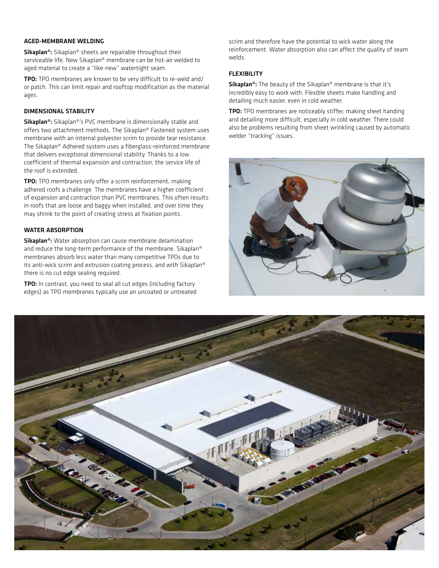#### AGED-MEMBRANE WELDING

Sikaplan®: Sikaplan® sheets are repairable throughout their serviceable life. New Sikaplan® membrane can be hot-air welded to aged material to create a "like-new" watertight seam.

TPO: TPO membranes are known to be very difficult to re-weld and/ or patch. This can limit repair and rooftop modification as the material ages.

#### DIMENSIONAL STABILITY

Sikaplan®: Sikaplan®'s PVC membrane is dimensionally stable and offers two attachment methods. The Sikaplan® Fastened system uses membrane with an internal polyester scrim to provide tear resistance. The Sikaplan® Adhered system uses a fiberglass-reinforced membrane that delivers exceptional dimensional stability. Thanks to a low coefficient of thermal expansion and contraction, the service life of the roof is extended.

TPO: TPO membranes only offer a scrim reinforcement, making adhered roofs a challenge. The membranes have a higher coefficient of expansion and contraction than PVC membranes. This often results in roofs that are loose and baggy when installed, and over time they may shrink to the point of creating stress at fixation points.

#### WATER ABSORPTION

Sikaplan®: Water absorption can cause membrane delamination and reduce the long-term performance of the membrane. Sikaplan® membranes absorb less water than many competitive TPOs due to its anti-wick scrim and extrusion coating process, and with Sikaplan® there is no cut edge sealing required.

TPO: In contrast, you need to seal all cut edges (including factory edges) as TPO membranes typically use an uncoated or untreated scrim and therefore have the potential to wick water along the reinforcement. Water absorption also can affect the quality of seam welds.

#### FLEXIBILITY

Sikaplan<sup>®</sup>: The beauty of the Sikaplan<sup>®</sup> membrane is that it's incredibly easy to work with. Flexible sheets make handling and detailing much easier, even in cold weather.

TPO: TPO membranes are noticeably stiffer, making sheet handing and detailing more difficult, especially in cold weather. There could also be problems resulting from sheet wrinkling caused by automatic welder "tracking" issues.